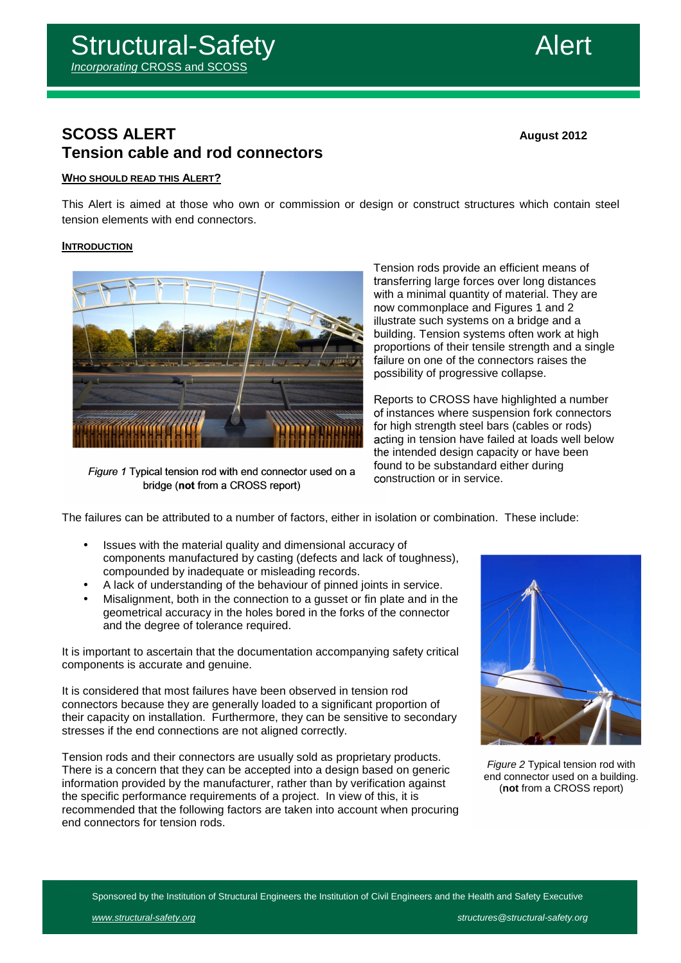

# **SCOSS ALERT August 2012 Tension cable and rod connectors**

# **WHO SHOULD READ THIS ALERT?**

This Alert is aimed at those who own or commission or design or construct structures which contain steel tension elements with end connectors.

# **INTRODUCTION**



Figure 1 Typical tension rod with end connector used on a bridge (not from a CROSS report)

Tension rods provide an efficient means of transferring large forces over long distances with a minimal quantity of material. They are now commonplace and Figures 1 and 2 illustrate such systems on a bridge and a building. Tension systems often work at high proportions of their tensile strength and a single failure on one of the connectors raises the possibility of progressive collapse.

Reports to CROSS have highlighted a number of instances where suspension fork connectors for high strength steel bars (cables or rods) acting in tension have failed at loads well below the intended design capacity or have been found to be substandard either during construction or in service.

The failures can be attributed to a number of factors, either in isolation or combination. These include:

- Issues with the material quality and dimensional accuracy of components manufactured by casting (defects and lack of toughness), compounded by inadequate or misleading records.
- A lack of understanding of the behaviour of pinned joints in service.
- Misalignment, both in the connection to a gusset or fin plate and in the geometrical accuracy in the holes bored in the forks of the connector and the degree of tolerance required.

It is important to ascertain that the documentation accompanying safety critical components is accurate and genuine.

It is considered that most failures have been observed in tension rod connectors because they are generally loaded to a significant proportion of their capacity on installation. Furthermore, they can be sensitive to secondary stresses if the end connections are not aligned correctly.

Tension rods and their connectors are usually sold as proprietary products. There is a concern that they can be accepted into a design based on generic information provided by the manufacturer, rather than by verification against the specific performance requirements of a project. In view of this, it is recommended that the following factors are taken into account when procuring end connectors for tension rods.



Figure 2 Typical tension rod with end connector used on a building. (**not** from a CROSS report)

Sponsored by the Institution of Structural Engineers the Institution of Civil Engineers and the Health and Safety Executive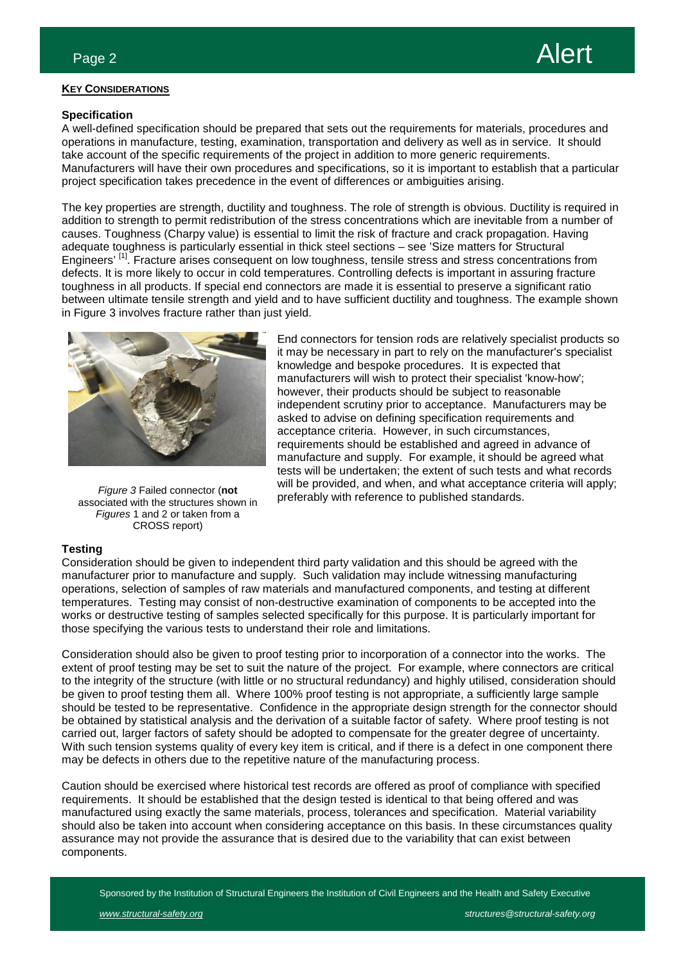

## **KEY CONSIDERATIONS**

## **Specification**

A well-defined specification should be prepared that sets out the requirements for materials, procedures and operations in manufacture, testing, examination, transportation and delivery as well as in service. It should take account of the specific requirements of the project in addition to more generic requirements. Manufacturers will have their own procedures and specifications, so it is important to establish that a particular project specification takes precedence in the event of differences or ambiguities arising.

The key properties are strength, ductility and toughness. The role of strength is obvious. Ductility is required in addition to strength to permit redistribution of the stress concentrations which are inevitable from a number of causes. Toughness (Charpy value) is essential to limit the risk of fracture and crack propagation. Having adequate toughness is particularly essential in thick steel sections – see 'Size matters for Structural Engineers'<sup>[1]</sup>. Fracture arises consequent on low toughness, tensile stress and stress concentrations from defects. It is more likely to occur in cold temperatures. Controlling defects is important in assuring fracture toughness in all products. If special end connectors are made it is essential to preserve a significant ratio between ultimate tensile strength and yield and to have sufficient ductility and toughness. The example shown in Figure 3 involves fracture rather than just yield.



Figure 3 Failed connector (**not** associated with the structures shown in Figures 1 and 2 or taken from a CROSS report)

End connectors for tension rods are relatively specialist products so it may be necessary in part to rely on the manufacturer's specialist knowledge and bespoke procedures. It is expected that manufacturers will wish to protect their specialist 'know-how'; however, their products should be subject to reasonable independent scrutiny prior to acceptance. Manufacturers may be asked to advise on defining specification requirements and acceptance criteria. However, in such circumstances, requirements should be established and agreed in advance of manufacture and supply. For example, it should be agreed what tests will be undertaken; the extent of such tests and what records will be provided, and when, and what acceptance criteria will apply; preferably with reference to published standards.

## **Testing**

Consideration should be given to independent third party validation and this should be agreed with the manufacturer prior to manufacture and supply. Such validation may include witnessing manufacturing operations, selection of samples of raw materials and manufactured components, and testing at different temperatures. Testing may consist of non-destructive examination of components to be accepted into the works or destructive testing of samples selected specifically for this purpose. It is particularly important for those specifying the various tests to understand their role and limitations.

Consideration should also be given to proof testing prior to incorporation of a connector into the works. The extent of proof testing may be set to suit the nature of the project. For example, where connectors are critical to the integrity of the structure (with little or no structural redundancy) and highly utilised, consideration should be given to proof testing them all. Where 100% proof testing is not appropriate, a sufficiently large sample should be tested to be representative. Confidence in the appropriate design strength for the connector should be obtained by statistical analysis and the derivation of a suitable factor of safety. Where proof testing is not carried out, larger factors of safety should be adopted to compensate for the greater degree of uncertainty. With such tension systems quality of every key item is critical, and if there is a defect in one component there may be defects in others due to the repetitive nature of the manufacturing process.

Caution should be exercised where historical test records are offered as proof of compliance with specified requirements. It should be established that the design tested is identical to that being offered and was manufactured using exactly the same materials, process, tolerances and specification. Material variability should also be taken into account when considering acceptance on this basis. In these circumstances quality assurance may not provide the assurance that is desired due to the variability that can exist between components.

Sponsored by the Institution of Structural Engineers the Institution of Civil Engineers and the Health and Safety Executive